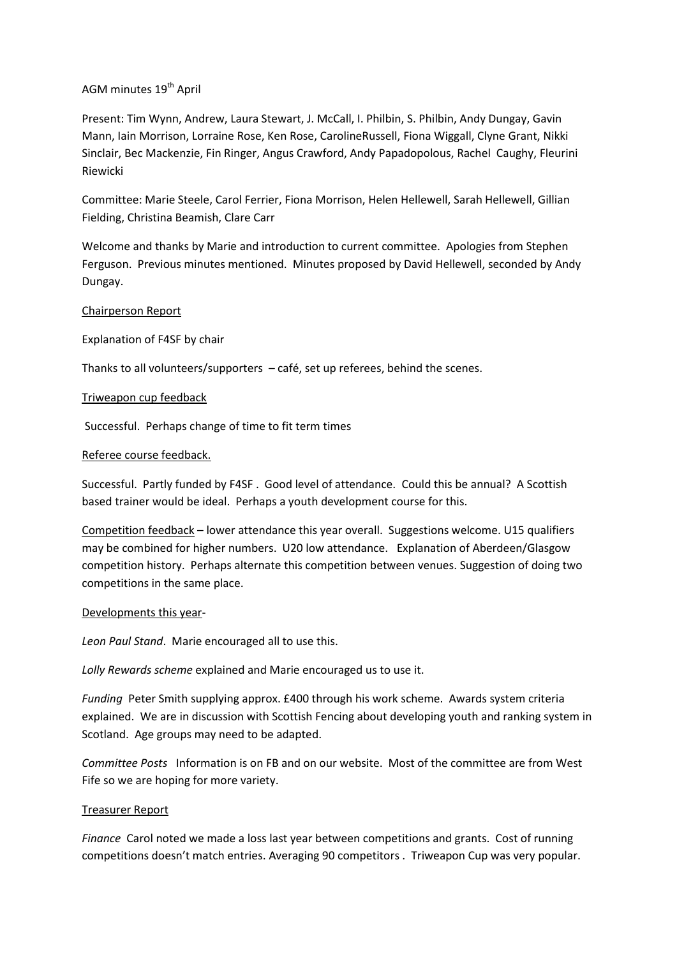# AGM minutes 19<sup>th</sup> April

Present: Tim Wynn, Andrew, Laura Stewart, J. McCall, I. Philbin, S. Philbin, Andy Dungay, Gavin Mann, Iain Morrison, Lorraine Rose, Ken Rose, CarolineRussell, Fiona Wiggall, Clyne Grant, Nikki Sinclair, Bec Mackenzie, Fin Ringer, Angus Crawford, Andy Papadopolous, Rachel Caughy, Fleurini Riewicki

Committee: Marie Steele, Carol Ferrier, Fiona Morrison, Helen Hellewell, Sarah Hellewell, Gillian Fielding, Christina Beamish, Clare Carr

Welcome and thanks by Marie and introduction to current committee. Apologies from Stephen Ferguson. Previous minutes mentioned. Minutes proposed by David Hellewell, seconded by Andy Dungay.

# Chairperson Report

Explanation of F4SF by chair

Thanks to all volunteers/supporters – café, set up referees, behind the scenes.

### Triweapon cup feedback

Successful. Perhaps change of time to fit term times

# Referee course feedback.

Successful. Partly funded by F4SF . Good level of attendance. Could this be annual? A Scottish based trainer would be ideal. Perhaps a youth development course for this.

Competition feedback – lower attendance this year overall. Suggestions welcome. U15 qualifiers may be combined for higher numbers. U20 low attendance. Explanation of Aberdeen/Glasgow competition history. Perhaps alternate this competition between venues. Suggestion of doing two competitions in the same place.

### Developments this year-

*Leon Paul Stand*. Marie encouraged all to use this.

*Lolly Rewards scheme* explained and Marie encouraged us to use it.

*Funding* Peter Smith supplying approx. £400 through his work scheme. Awards system criteria explained. We are in discussion with Scottish Fencing about developing youth and ranking system in Scotland. Age groups may need to be adapted.

*Committee Posts* Information is on FB and on our website. Most of the committee are from West Fife so we are hoping for more variety.

### Treasurer Report

*Finance* Carol noted we made a loss last year between competitions and grants. Cost of running competitions doesn't match entries. Averaging 90 competitors . Triweapon Cup was very popular.